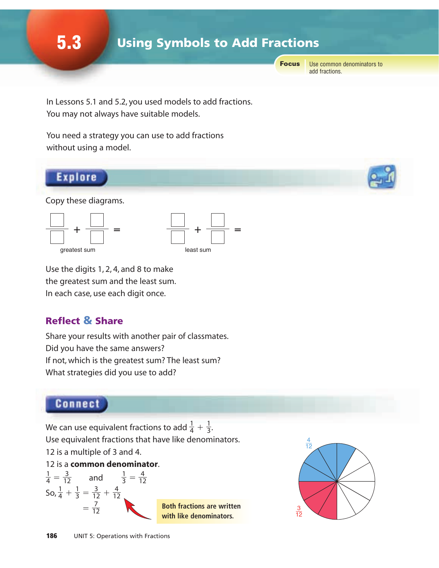5.3 Using Symbols to Add Fractions

Focus

Use common denominators to add fractions.

In Lessons 5.1 and 5.2, you used models to add fractions. You may not always have suitable models.

You need a strategy you can use to add fractions without using a model.

### Explore

Copy these diagrams.





Use the digits 1, 2, 4, and 8 to make the greatest sum and the least sum. In each case, use each digit once.

## Reflect & Share

Share your results with another pair of classmates. Did you have the same answers? If not, which is the greatest sum? The least sum? What strategies did you use to add?

## Connect

We can use equivalent fractions to add  $\frac{1}{4} + \frac{1}{3}$ . Use equivalent fractions that have like denominators. 12 is a multiple of 3 and 4. 3 1 4





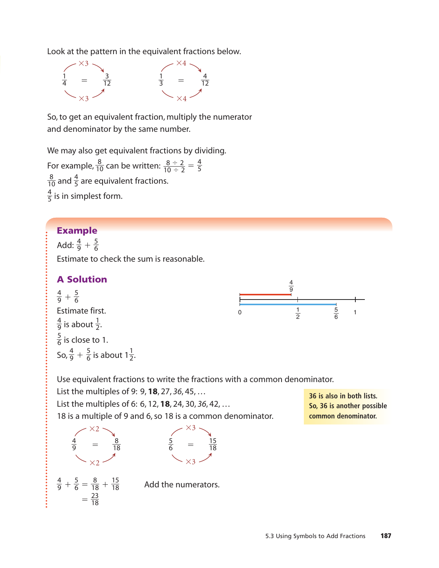Look at the pattern in the equivalent fractions below.



So, to get an equivalent fraction, multiply the numerator and denominator by the same number.

We may also get equivalent fractions by dividing.

For example,  $\frac{8}{10}$  can be written:  $\frac{8 \div 2}{10 \div 2} = \frac{4}{5}$ and  $\frac{4}{5}$  are equivalent fractions.  $\frac{4}{5}$  is in simplest form.  $8 \div 2$  $10 \div 2$  

#### Example

Add:  $\frac{4}{9} + \frac{5}{6}$  

Estimate to check the sum is reasonable.

#### A Solution

 $+\frac{5}{6}$ Estimate first. is about  $\frac{1}{2}$ .  $\frac{5}{6}$  is close to 1. So,  $\frac{4}{9} + \frac{5}{6}$  is about  $1\frac{1}{2}$ . 



Use equivalent fractions to write the fractions with a common denominator.

List the multiples of 9: 9, **18**, 27, *36*, 45, … List the multiples of 6: 6, 12, **18**, 24, 30, *36*, 42, … 18 is a multiple of 9 and 6, so 18 is a common denominator.



**36 is also in both lists. So, 36 is another possible common denominator.**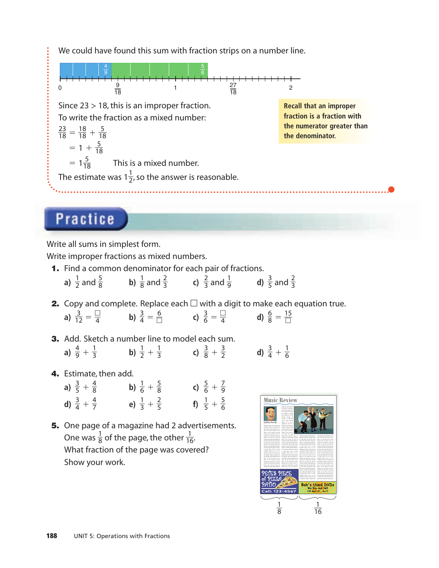We could have found this sum with fraction strips on a number line.



# **Practice**

Write all sums in simplest form.

Write improper fractions as mixed numbers.

- 1. Find a common denominator for each pair of fractions.
	- **b**)  $\frac{1}{8}$  and  $\frac{2}{3}$  **c**)  $\frac{2}{3}$  and  $\frac{1}{9}$  **d**)  $\frac{3}{5}$  and  $\frac{2}{3}$ a)  $\frac{1}{2}$  and  $\frac{5}{8}$
- **2.** Copy and complete. Replace each  $\Box$  with a digit to make each equation true.

a)  $\frac{3}{12} = \frac{1}{4}$  b)  $\frac{3}{4} = \frac{6}{11}$  c)  $\frac{3}{6} = \frac{1}{4}$  d)  $\frac{6}{8} = \frac{15}{11}$ 

3. Add. Sketch a number line to model each sum.

a)  $\frac{4}{9} + \frac{1}{3}$  b)  $\frac{1}{2} + \frac{1}{3}$  c)  $\frac{3}{8} + \frac{3}{2}$  d)  $\frac{3}{4} + \frac{1}{6}$ 

4. Estimate, then add.

| a) $\frac{3}{5} + \frac{4}{8}$ | b) $\frac{1}{6} + \frac{5}{8}$ | c) $\frac{5}{6} + \frac{7}{9}$ |
|--------------------------------|--------------------------------|--------------------------------|
| d) $\frac{3}{4} + \frac{4}{7}$ | e) $\frac{1}{3} + \frac{2}{5}$ | f) $\frac{1}{5} + \frac{5}{6}$ |

5. One page of a magazine had 2 advertisements. One was  $\frac{1}{8}$  of the page, the other  $\frac{1}{16}$ . What fraction of the page was covered? Show your work.